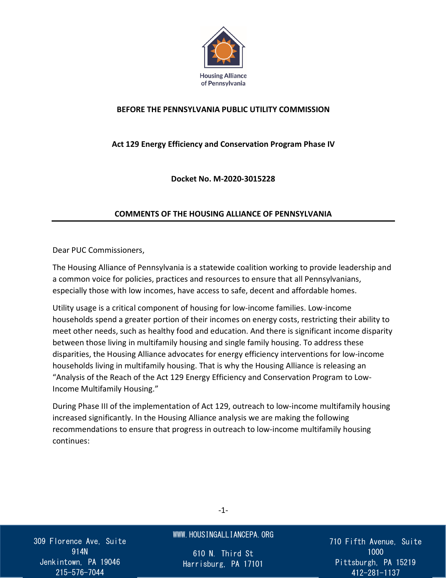

#### **BEFORE THE PENNSYLVANIA PUBLIC UTILITY COMMISSION**

#### **Act 129 Energy Efficiency and Conservation Program Phase IV**

**Docket No. M-2020-3015228**

#### **COMMENTS OF THE HOUSING ALLIANCE OF PENNSYLVANIA**

Dear PUC Commissioners,

The Housing Alliance of Pennsylvania is a statewide coalition working to provide leadership and a common voice for policies, practices and resources to ensure that all Pennsylvanians, especially those with low incomes, have access to safe, decent and affordable homes.

Utility usage is a critical component of housing for low-income families. Low-income households spend a greater portion of their incomes on energy costs, restricting their ability to meet other needs, such as healthy food and education. And there is significant income disparity between those living in multifamily housing and single family housing. To address these disparities, the Housing Alliance advocates for energy efficiency interventions for low-income households living in multifamily housing. That is why the Housing Alliance is releasing an "Analysis of the Reach of the Act 129 Energy Efficiency and Conservation Program to Low-Income Multifamily Housing."

During Phase III of the implementation of Act 129, outreach to low-income multifamily housing increased significantly. In the Housing Alliance analysis we are making the following recommendations to ensure that progress in outreach to low-income multifamily housing continues:

309 Florence Ave, Suite 914N Jenkintown, PA 19046 215-576-7044

#### WWW.HOUSINGALLIANCEPA.ORG

610 N. Third St Harrisburg, PA 17101 710 Fifth Avenue, Suite 1000 Pittsburgh, PA 15219 412-281-1137

-1-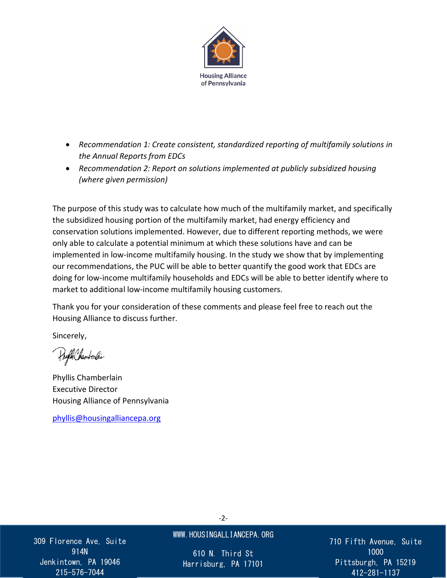

- *Recommendation 1: Create consistent, standardized reporting of multifamily solutions in the Annual Reports from EDCs*
- *Recommendation 2: Report on solutions implemented at publicly subsidized housing (where given permission)*

The purpose of this study was to calculate how much of the multifamily market, and specifically the subsidized housing portion of the multifamily market, had energy efficiency and conservation solutions implemented. However, due to different reporting methods, we were only able to calculate a potential minimum at which these solutions have and can be implemented in low-income multifamily housing. In the study we show that by implementing our recommendations, the PUC will be able to better quantify the good work that EDCs are doing for low-income multifamily households and EDCs will be able to better identify where to market to additional low-income multifamily housing customers.

Thank you for your consideration of these comments and please feel free to reach out the Housing Alliance to discuss further.

Sincerely,

Phylls Chamberlie

Phyllis Chamberlain Executive Director Housing Alliance of Pennsylvania

[phyllis@housingalliancepa.org](mailto:phyllis@housingalliancepa.org)

309 Florence Ave, Suite 914N Jenkintown, PA 19046 215-576-7044

#### WWW.HOUSINGALLIANCEPA.ORG

610 N. Third St Harrisburg, PA 17101 710 Fifth Avenue, Suite 1000 Pittsburgh, PA 15219 412-281-1137

-2-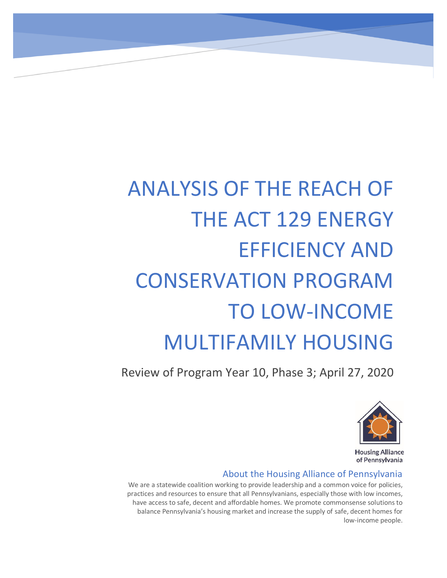# ANALYSIS OF THE REACH OF THE ACT 129 ENERGY EFFICIENCY AND CONSERVATION PROGRAM TO LOW-INCOME MULTIFAMILY HOUSING

Act 129 Multifamily Housing Reach April 2020

Review of Program Year 10, Phase 3; April 27, 2020



**Housing Alliance** of Pennsylvania

#### About the Housing Alliance of Pennsylvania

We are a statewide coalition working to provide leadership and a common voice for policies, practices and resources to ensure that all Pennsylvanians, especially those with low incomes, have access to safe, decent and affordable homes. We promote commonsense solutions to balance Pennsylvania's housing market and increase the supply of safe, decent homes for low-income people.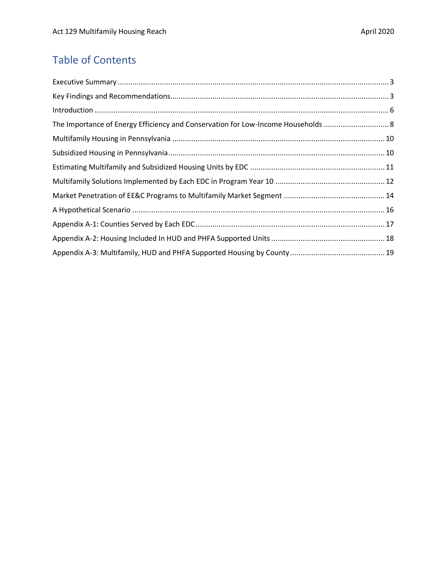## Table of Contents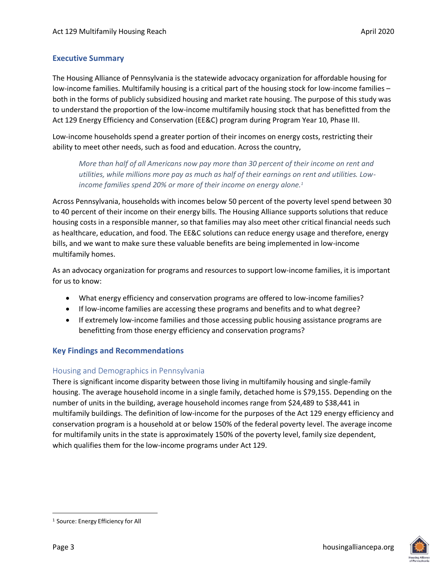#### <span id="page-4-0"></span>**Executive Summary**

The Housing Alliance of Pennsylvania is the statewide advocacy organization for affordable housing for low-income families. Multifamily housing is a critical part of the housing stock for low-income families – both in the forms of publicly subsidized housing and market rate housing. The purpose of this study was to understand the proportion of the low-income multifamily housing stock that has benefitted from the Act 129 Energy Efficiency and Conservation (EE&C) program during Program Year 10, Phase III.

Low-income households spend a greater portion of their incomes on energy costs, restricting their ability to meet other needs, such as food and education. Across the country,

*More than half of all Americans now pay more than 30 percent of their income on rent and utilities, while millions more pay as much as half of their earnings on rent and utilities. Lowincome families spend 20% or more of their income on energy alone.<sup>1</sup>*

Across Pennsylvania, households with incomes below 50 percent of the poverty level spend between 30 to 40 percent of their income on their energy bills. The Housing Alliance supports solutions that reduce housing costs in a responsible manner, so that families may also meet other critical financial needs such as healthcare, education, and food. The EE&C solutions can reduce energy usage and therefore, energy bills, and we want to make sure these valuable benefits are being implemented in low-income multifamily homes.

As an advocacy organization for programs and resources to support low-income families, it is important for us to know:

- What energy efficiency and conservation programs are offered to low-income families?
- If low-income families are accessing these programs and benefits and to what degree?
- If extremely low-income families and those accessing public housing assistance programs are benefitting from those energy efficiency and conservation programs?

#### <span id="page-4-1"></span>**Key Findings and Recommendations**

#### Housing and Demographics in Pennsylvania

There is significant income disparity between those living in multifamily housing and single-family housing. The average household income in a single family, detached home is \$79,155. Depending on the number of units in the building, average household incomes range from \$24,489 to \$38,441 in multifamily buildings. The definition of low-income for the purposes of the Act 129 energy efficiency and conservation program is a household at or below 150% of the federal poverty level. The average income for multifamily units in the state is approximately 150% of the poverty level, family size dependent, which qualifies them for the low-income programs under Act 129.

<sup>1</sup> Source: Energy Efficiency for All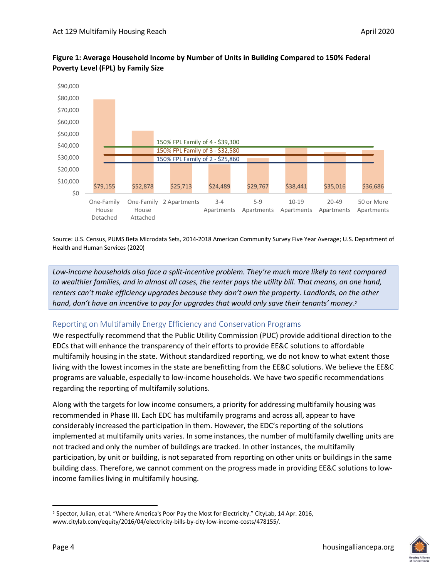

#### **Figure 1: Average Household Income by Number of Units in Building Compared to 150% Federal Poverty Level (FPL) by Family Size**

Source: U.S. Census, PUMS Beta Microdata Sets, 2014-2018 American Community Survey Five Year Average; U.S. Department of Health and Human Services (2020)

*Low-income households also face a split-incentive problem. They're much more likely to rent compared to wealthier families, and in almost all cases, the renter pays the utility bill. That means, on one hand, renters can't make efficiency upgrades because they don't own the property. Landlords, on the other hand, don't have an incentive to pay for upgrades that would only save their tenants' money*. 2

#### Reporting on Multifamily Energy Efficiency and Conservation Programs

We respectfully recommend that the Public Utility Commission (PUC) provide additional direction to the EDCs that will enhance the transparency of their efforts to provide EE&C solutions to affordable multifamily housing in the state. Without standardized reporting, we do not know to what extent those living with the lowest incomes in the state are benefitting from the EE&C solutions. We believe the EE&C programs are valuable, especially to low-income households. We have two specific recommendations regarding the reporting of multifamily solutions.

Along with the targets for low income consumers, a priority for addressing multifamily housing was recommended in Phase III. Each EDC has multifamily programs and across all, appear to have considerably increased the participation in them. However, the EDC's reporting of the solutions implemented at multifamily units varies. In some instances, the number of multifamily dwelling units are not tracked and only the number of buildings are tracked. In other instances, the multifamily participation, by unit or building, is not separated from reporting on other units or buildings in the same building class. Therefore, we cannot comment on the progress made in providing EE&C solutions to lowincome families living in multifamily housing.

 $\overline{a}$ 

<sup>2</sup> Spector, Julian, et al. "Where America's Poor Pay the Most for Electricity." CityLab, 14 Apr. 2016, www.citylab.com/equity/2016/04/electricity-bills-by-city-low-income-costs/478155/.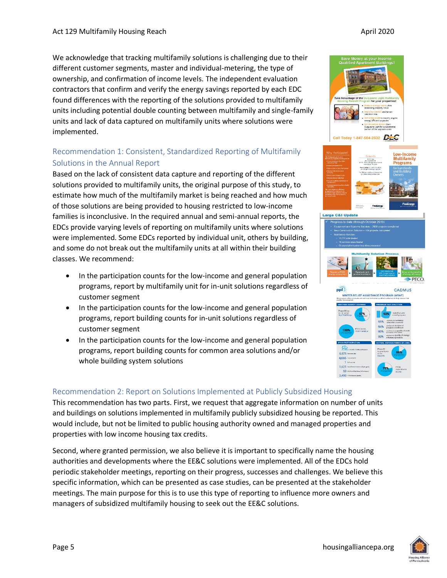We acknowledge that tracking multifamily solutions is challenging due to their different customer segments, master and individual-metering, the type of ownership, and confirmation of income levels. The independent evaluation contractors that confirm and verify the energy savings reported by each EDC found differences with the reporting of the solutions provided to multifamily units including potential double counting between multifamily and single-family units and lack of data captured on multifamily units where solutions were implemented.

### Recommendation 1: Consistent, Standardized Reporting of Multifamily Solutions in the Annual Report

Based on the lack of consistent data capture and reporting of the different solutions provided to multifamily units, the original purpose of this study, to estimate how much of the multifamily market is being reached and how much of those solutions are being provided to housing restricted to low-income families is inconclusive. In the required annual and semi-annual reports, the EDCs provide varying levels of reporting on multifamily units where solutions were implemented. Some EDCs reported by individual unit, others by building, and some do not break out the multifamily units at all within their building classes. We recommend:

- In the participation counts for the low-income and general population programs, report by multifamily unit for in-unit solutions regardless of customer segment
- In the participation counts for the low-income and general population programs, report building counts for in-unit solutions regardless of customer segment
- In the participation counts for the low-income and general population programs, report building counts for common area solutions and/or whole building system solutions

#### Recommendation 2: Report on Solutions Implemented at Publicly Subsidized Housing

This recommendation has two parts. First, we request that aggregate information on number of units and buildings on solutions implemented in multifamily publicly subsidized housing be reported. This would include, but not be limited to public housing authority owned and managed properties and properties with low income housing tax credits.

Second, where granted permission, we also believe it is important to specifically name the housing authorities and developments where the EE&C solutions were implemented. All of the EDCs hold periodic stakeholder meetings, reporting on their progress, successes and challenges. We believe this specific information, which can be presented as case studies, can be presented at the stakeholder meetings. The main purpose for this is to use this type of reporting to influence more owners and managers of subsidized multifamily housing to seek out the EE&C solutions.



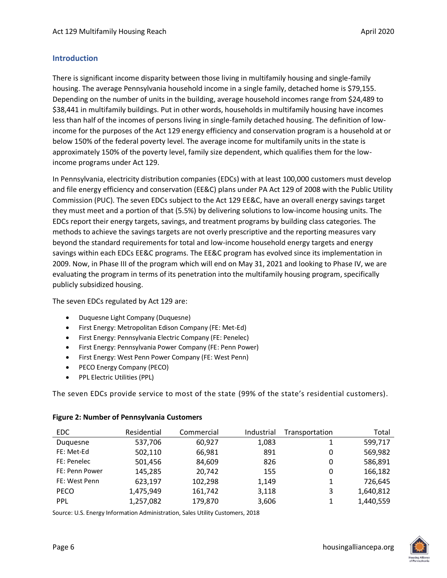#### <span id="page-7-0"></span>**Introduction**

There is significant income disparity between those living in multifamily housing and single-family housing. The average Pennsylvania household income in a single family, detached home is \$79,155. Depending on the number of units in the building, average household incomes range from \$24,489 to \$38,441 in multifamily buildings. Put in other words, households in multifamily housing have incomes less than half of the incomes of persons living in single-family detached housing. The definition of lowincome for the purposes of the Act 129 energy efficiency and conservation program is a household at or below 150% of the federal poverty level. The average income for multifamily units in the state is approximately 150% of the poverty level, family size dependent, which qualifies them for the lowincome programs under Act 129.

In Pennsylvania, electricity distribution companies (EDCs) with at least 100,000 customers must develop and file energy efficiency and conservation (EE&C) plans under PA Act 129 of 2008 with the Public Utility Commission (PUC). The seven EDCs subject to the Act 129 EE&C, have an overall energy savings target they must meet and a portion of that (5.5%) by delivering solutions to low-income housing units. The EDCs report their energy targets, savings, and treatment programs by building class categories. The methods to achieve the savings targets are not overly prescriptive and the reporting measures vary beyond the standard requirements for total and low-income household energy targets and energy savings within each EDCs EE&C programs. The EE&C program has evolved since its implementation in 2009. Now, in Phase III of the program which will end on May 31, 2021 and looking to Phase IV, we are evaluating the program in terms of its penetration into the multifamily housing program, specifically publicly subsidized housing.

The seven EDCs regulated by Act 129 are:

- Duquesne Light Company (Duquesne)
- First Energy: Metropolitan Edison Company (FE: Met-Ed)
- First Energy: Pennsylvania Electric Company (FE: Penelec)
- First Energy: Pennsylvania Power Company (FE: Penn Power)
- First Energy: West Penn Power Company (FE: West Penn)
- PECO Energy Company (PECO)
- PPL Electric Utilities (PPL)

The seven EDCs provide service to most of the state (99% of the state's residential customers).

| <b>EDC</b>     | Residential | Commercial | Industrial | Transportation | Total     |
|----------------|-------------|------------|------------|----------------|-----------|
| Duquesne       | 537,706     | 60,927     | 1,083      |                | 599,717   |
| FE: Met-Ed     | 502,110     | 66,981     | 891        | 0              | 569,982   |
| FE: Penelec    | 501,456     | 84,609     | 826        | 0              | 586,891   |
| FE: Penn Power | 145,285     | 20,742     | 155        | 0              | 166,182   |
| FE: West Penn  | 623,197     | 102,298    | 1,149      |                | 726,645   |
| <b>PECO</b>    | 1,475,949   | 161,742    | 3,118      | 3              | 1,640,812 |
| PPL            | 1,257,082   | 179,870    | 3,606      |                | 1,440,559 |

#### **Figure 2: Number of Pennsylvania Customers**

Source: U.S. Energy Information Administration, Sales Utility Customers, 2018

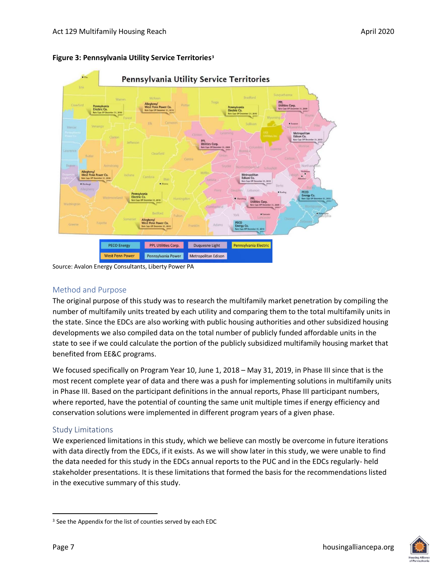

#### **Figure 3: Pennsylvania Utility Service Territories<sup>3</sup>**

Source: Avalon Energy Consultants, Liberty Power PA

#### Method and Purpose

The original purpose of this study was to research the multifamily market penetration by compiling the number of multifamily units treated by each utility and comparing them to the total multifamily units in the state. Since the EDCs are also working with public housing authorities and other subsidized housing developments we also compiled data on the total number of publicly funded affordable units in the state to see if we could calculate the portion of the publicly subsidized multifamily housing market that benefited from EE&C programs.

We focused specifically on Program Year 10, June 1, 2018 – May 31, 2019, in Phase III since that is the most recent complete year of data and there was a push for implementing solutions in multifamily units in Phase III. Based on the participant definitions in the annual reports, Phase III participant numbers, where reported, have the potential of counting the same unit multiple times if energy efficiency and conservation solutions were implemented in different program years of a given phase.

#### Study Limitations

We experienced limitations in this study, which we believe can mostly be overcome in future iterations with data directly from the EDCs, if it exists. As we will show later in this study, we were unable to find the data needed for this study in the EDCs annual reports to the PUC and in the EDCs regularly- held stakeholder presentations. It is these limitations that formed the basis for the recommendations listed in the executive summary of this study.



<sup>&</sup>lt;sup>3</sup> See the Appendix for the list of counties served by each EDC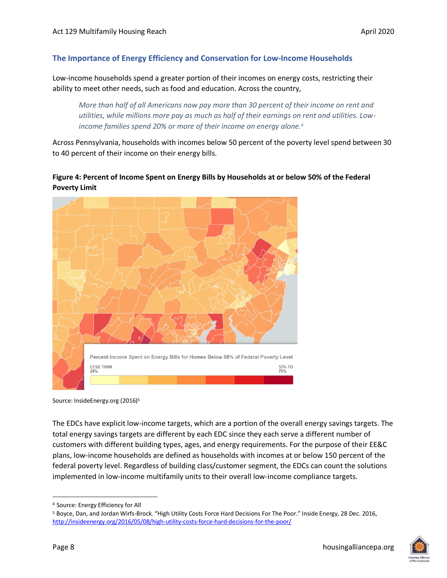#### <span id="page-9-0"></span>**The Importance of Energy Efficiency and Conservation for Low-Income Households**

Low-income households spend a greater portion of their incomes on energy costs, restricting their ability to meet other needs, such as food and education. Across the country,

*More than half of all Americans now pay more than 30 percent of their income on rent and utilities, while millions more pay as much as half of their earnings on rent and utilities. Lowincome families spend 20% or more of their income on energy alone.<sup>4</sup>*

Across Pennsylvania, households with incomes below 50 percent of the poverty level spend between 30 to 40 percent of their income on their energy bills.

#### **Figure 4: Percent of Income Spent on Energy Bills by Households at or below 50% of the Federal Poverty Limit**



Source: InsideEnergy.org (2016)<sup>5</sup>

The EDCs have explicit low-income targets, which are a portion of the overall energy savings targets. The total energy savings targets are different by each EDC since they each serve a different number of customers with different building types, ages, and energy requirements. For the purpose of their EE&C plans, low-income households are defined as households with incomes at or below 150 percent of the federal poverty level. Regardless of building class/customer segment, the EDCs can count the solutions implemented in low-income multifamily units to their overall low-income compliance targets.



<sup>4</sup> Source: Energy Efficiency for All

<sup>5</sup> Boyce, Dan, and Jordan Wirfs-Brock. "High Utility Costs Force Hard Decisions For The Poor." Inside Energy, 28 Dec. 2016, <http://insideenergy.org/2016/05/08/high-utility-costs-force-hard-decisions-for-the-poor/>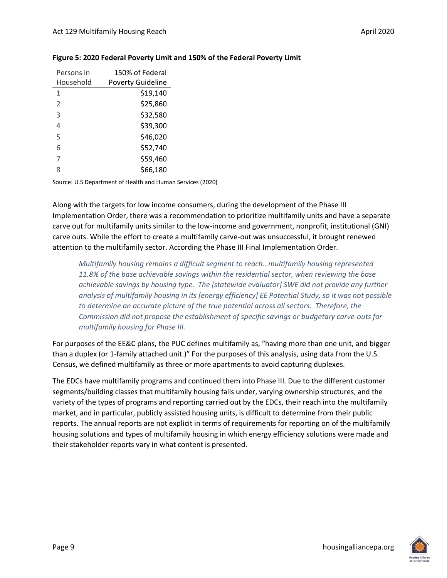| Persons in    | 150% of Federal          |
|---------------|--------------------------|
| Household     | <b>Poverty Guideline</b> |
| 1             | \$19,140                 |
| $\mathcal{P}$ | \$25,860                 |
| 3             | \$32,580                 |
| 4             | \$39,300                 |
| 5             | \$46,020                 |
| 6             | \$52,740                 |
| 7             | \$59,460                 |
| ጸ             | \$66,180                 |

#### **Figure 5: 2020 Federal Poverty Limit and 150% of the Federal Poverty Limit**

Source: U.S Department of Health and Human Services (2020)

Along with the targets for low income consumers, during the development of the Phase III Implementation Order, there was a recommendation to prioritize multifamily units and have a separate carve out for multifamily units similar to the low-income and government, nonprofit, institutional (GNI) carve outs. While the effort to create a multifamily carve-out was unsuccessful, it brought renewed attention to the multifamily sector. According the Phase III Final Implementation Order.

*Multifamily housing remains a difficult segment to reach…multifamily housing represented 11.8% of the base achievable savings within the residential sector, when reviewing the base achievable savings by housing type. The [statewide evaluator] SWE did not provide any further analysis of multifamily housing in its [energy efficiency] EE Potential Study, so it was not possible to determine an accurate picture of the true potential across all sectors. Therefore, the Commission did not propose the establishment of specific savings or budgetary carve-outs for multifamily housing for Phase III.*

For purposes of the EE&C plans, the PUC defines multifamily as, "having more than one unit, and bigger than a duplex (or 1-family attached unit.)" For the purposes of this analysis, using data from the U.S. Census, we defined multifamily as three or more apartments to avoid capturing duplexes.

The EDCs have multifamily programs and continued them into Phase III. Due to the different customer segments/building classes that multifamily housing falls under, varying ownership structures, and the variety of the types of programs and reporting carried out by the EDCs, their reach into the multifamily market, and in particular, publicly assisted housing units, is difficult to determine from their public reports. The annual reports are not explicit in terms of requirements for reporting on of the multifamily housing solutions and types of multifamily housing in which energy efficiency solutions were made and their stakeholder reports vary in what content is presented.

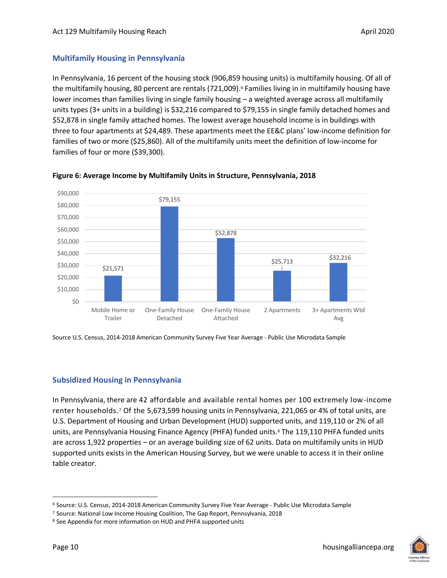#### <span id="page-11-0"></span>**Multifamily Housing in Pennsylvania**

In Pennsylvania, 16 percent of the housing stock (906,859 housing units) is multifamily housing. Of all of the multifamily housing, 80 percent are rentals (721,009). <sup>6</sup> Families living in in multifamily housing have lower incomes than families living in single family housing – a weighted average across all multifamily units types (3+ units in a building) is \$32,216 compared to \$79,155 in single family detached homes and \$52,878 in single family attached homes. The lowest average household income is in buildings with three to four apartments at \$24,489. These apartments meet the EE&C plans' low-income definition for families of two or more (\$25,860). All of the multifamily units meet the definition of low-income for families of four or more (\$39,300).



**Figure 6: Average Income by Multifamily Units in Structure, Pennsylvania, 2018**

Source U.S. Census, 2014-2018 American Community Survey Five Year Average - Public Use Microdata Sample

#### <span id="page-11-1"></span>**Subsidized Housing in Pennsylvania**

In Pennsylvania, there are 42 affordable and available rental homes per 100 extremely low-income renter households. <sup>7</sup> Of the 5,673,599 housing units in Pennsylvania, 221,065 or 4% of total units, are U.S. Department of Housing and Urban Development (HUD) supported units, and 119,110 or 2% of all units, are Pennsylvania Housing Finance Agency (PHFA) funded units.<sup>8</sup> The 119,110 PHFA funded units are across 1,922 properties – or an average building size of 62 units. Data on multifamily units in HUD supported units exists in the American Housing Survey, but we were unable to access it in their online table creator.



<sup>6</sup> Source: U.S. Census, 2014-2018 American Community Survey Five Year Average - Public Use Microdata Sample

<sup>7</sup> Source: National Low Income Housing Coalition, The Gap Report, Pennsylvania, 2018

<sup>8</sup> See Appendix for more information on HUD and PHFA supported units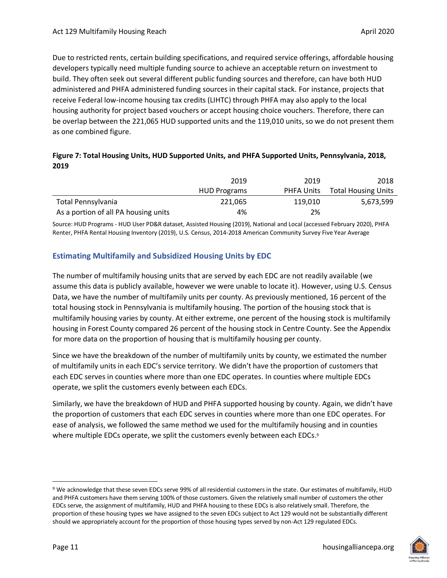Due to restricted rents, certain building specifications, and required service offerings, affordable housing developers typically need multiple funding source to achieve an acceptable return on investment to build. They often seek out several different public funding sources and therefore, can have both HUD administered and PHFA administered funding sources in their capital stack. For instance, projects that receive Federal low-income housing tax credits (LIHTC) through PHFA may also apply to the local housing authority for project based vouchers or accept housing choice vouchers. Therefore, there can be overlap between the 221,065 HUD supported units and the 119,010 units, so we do not present them as one combined figure.

#### **Figure 7: Total Housing Units, HUD Supported Units, and PHFA Supported Units, Pennsylvania, 2018, 2019**

|                                      | 2019                | 2019              | 2018                       |
|--------------------------------------|---------------------|-------------------|----------------------------|
|                                      | <b>HUD Programs</b> | <b>PHFA Units</b> | <b>Total Housing Units</b> |
| Total Pennsylvania                   | 221.065             | 119.010           | 5,673,599                  |
| As a portion of all PA housing units | 4%                  | 2%                |                            |

Source: HUD Programs - HUD User PD&R dataset, Assisted Housing (2019), National and Local (accessed February 2020), PHFA Renter, PHFA Rental Housing Inventory (2019), U.S. Census, 2014-2018 American Community Survey Five Year Average

#### <span id="page-12-0"></span>**Estimating Multifamily and Subsidized Housing Units by EDC**

The number of multifamily housing units that are served by each EDC are not readily available (we assume this data is publicly available, however we were unable to locate it). However, using U.S. Census Data, we have the number of multifamily units per county. As previously mentioned, 16 percent of the total housing stock in Pennsylvania is multifamily housing. The portion of the housing stock that is multifamily housing varies by county. At either extreme, one percent of the housing stock is multifamily housing in Forest County compared 26 percent of the housing stock in Centre County. See the Appendix for more data on the proportion of housing that is multifamily housing per county.

Since we have the breakdown of the number of multifamily units by county, we estimated the number of multifamily units in each EDC's service territory. We didn't have the proportion of customers that each EDC serves in counties where more than one EDC operates. In counties where multiple EDCs operate, we split the customers evenly between each EDCs.

Similarly, we have the breakdown of HUD and PHFA supported housing by county. Again, we didn't have the proportion of customers that each EDC serves in counties where more than one EDC operates. For ease of analysis, we followed the same method we used for the multifamily housing and in counties where multiple EDCs operate, we split the customers evenly between each EDCs. 9

<sup>9</sup> We acknowledge that these seven EDCs serve 99% of all residential customers in the state. Our estimates of multifamily, HUD and PHFA customers have them serving 100% of those customers. Given the relatively small number of customers the other EDCs serve, the assignment of multifamily, HUD and PHFA housing to these EDCs is also relatively small. Therefore, the proportion of these housing types we have assigned to the seven EDCs subject to Act 129 would not be substantially different should we appropriately account for the proportion of those housing types served by non-Act 129 regulated EDCs.

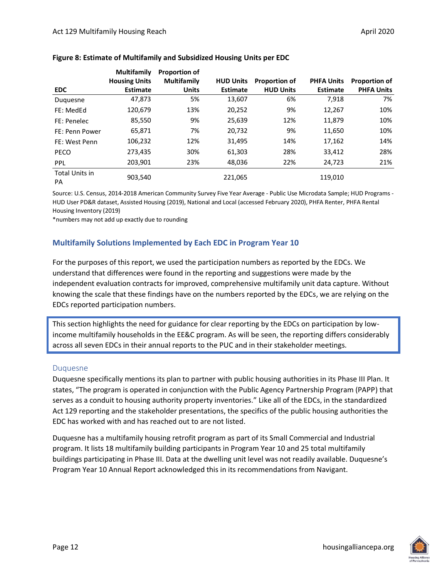|                      | <b>Multifamily</b>   | <b>Proportion of</b> |                  |                      |                   |                   |
|----------------------|----------------------|----------------------|------------------|----------------------|-------------------|-------------------|
|                      | <b>Housing Units</b> | <b>Multifamily</b>   | <b>HUD Units</b> | <b>Proportion of</b> | <b>PHFA Units</b> | Proportion of     |
| <b>EDC</b>           | <b>Estimate</b>      | <b>Units</b>         | <b>Estimate</b>  | <b>HUD Units</b>     | <b>Estimate</b>   | <b>PHFA Units</b> |
| Duquesne             | 47,873               | 5%                   | 13,607           | 6%                   | 7,918             | 7%                |
| FE: MedEd            | 120,679              | 13%                  | 20,252           | 9%                   | 12,267            | 10%               |
| FE: Penelec          | 85,550               | 9%                   | 25,639           | 12%                  | 11,879            | 10%               |
| FE: Penn Power       | 65,871               | 7%                   | 20,732           | 9%                   | 11,650            | 10%               |
| FE: West Penn        | 106,232              | 12%                  | 31,495           | 14%                  | 17,162            | 14%               |
| <b>PECO</b>          | 273,435              | 30%                  | 61,303           | 28%                  | 33,412            | 28%               |
| <b>PPL</b>           | 203,901              | 23%                  | 48,036           | 22%                  | 24,723            | 21%               |
| Total Units in<br>PA | 903,540              |                      | 221,065          |                      | 119,010           |                   |

#### **Figure 8: Estimate of Multifamily and Subsidized Housing Units per EDC**

Source: U.S. Census, 2014-2018 American Community Survey Five Year Average - Public Use Microdata Sample; HUD Programs - HUD User PD&R dataset, Assisted Housing (2019), National and Local (accessed February 2020), PHFA Renter, PHFA Rental Housing Inventory (2019)

\*numbers may not add up exactly due to rounding

#### <span id="page-13-0"></span>**Multifamily Solutions Implemented by Each EDC in Program Year 10**

For the purposes of this report, we used the participation numbers as reported by the EDCs. We understand that differences were found in the reporting and suggestions were made by the independent evaluation contracts for improved, comprehensive multifamily unit data capture. Without knowing the scale that these findings have on the numbers reported by the EDCs, we are relying on the EDCs reported participation numbers.

This section highlights the need for guidance for clear reporting by the EDCs on participation by lowincome multifamily households in the EE&C program. As will be seen, the reporting differs considerably across all seven EDCs in their annual reports to the PUC and in their stakeholder meetings.

#### Duquesne

Duquesne specifically mentions its plan to partner with public housing authorities in its Phase III Plan. It states, "The program is operated in conjunction with the Public Agency Partnership Program (PAPP) that serves as a conduit to housing authority property inventories." Like all of the EDCs, in the standardized Act 129 reporting and the stakeholder presentations, the specifics of the public housing authorities the EDC has worked with and has reached out to are not listed.

Duquesne has a multifamily housing retrofit program as part of its Small Commercial and Industrial program. It lists 18 multifamily building participants in Program Year 10 and 25 total multifamily buildings participating in Phase III. Data at the dwelling unit level was not readily available. Duquesne's Program Year 10 Annual Report acknowledged this in its recommendations from Navigant.

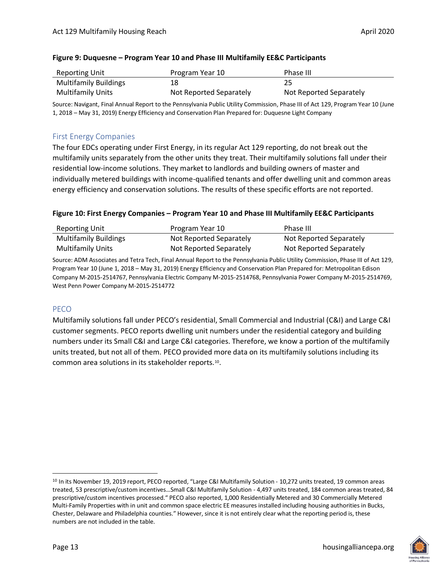|  | Figure 9: Duquesne - Program Year 10 and Phase III Multifamily EE&C Participants |
|--|----------------------------------------------------------------------------------|
|--|----------------------------------------------------------------------------------|

| Reporting Unit               | Program Year 10         | Phase III               |
|------------------------------|-------------------------|-------------------------|
| <b>Multifamily Buildings</b> | 18                      |                         |
| <b>Multifamily Units</b>     | Not Reported Separately | Not Reported Separately |

Source: Navigant, Final Annual Report to the Pennsylvania Public Utility Commission, Phase III of Act 129, Program Year 10 (June 1, 2018 – May 31, 2019) Energy Efficiency and Conservation Plan Prepared for: Duquesne Light Company

#### First Energy Companies

The four EDCs operating under First Energy, in its regular Act 129 reporting, do not break out the multifamily units separately from the other units they treat. Their multifamily solutions fall under their residential low-income solutions. They market to landlords and building owners of master and individually metered buildings with income-qualified tenants and offer dwelling unit and common areas energy efficiency and conservation solutions. The results of these specific efforts are not reported.

#### **Figure 10: First Energy Companies – Program Year 10 and Phase III Multifamily EE&C Participants**

| Reporting Unit               | Program Year 10         | Phase III               |
|------------------------------|-------------------------|-------------------------|
| <b>Multifamily Buildings</b> | Not Reported Separately | Not Reported Separately |
| <b>Multifamily Units</b>     | Not Reported Separately | Not Reported Separately |

Source: ADM Associates and Tetra Tech, Final Annual Report to the Pennsylvania Public Utility Commission, Phase III of Act 129, Program Year 10 (June 1, 2018 – May 31, 2019) Energy Efficiency and Conservation Plan Prepared for: Metropolitan Edison Company M-2015-2514767, Pennsylvania Electric Company M-2015-2514768, Pennsylvania Power Company M-2015-2514769, West Penn Power Company M-2015-2514772

#### PECO

Multifamily solutions fall under PECO's residential, Small Commercial and Industrial (C&I) and Large C&I customer segments. PECO reports dwelling unit numbers under the residential category and building numbers under its Small C&I and Large C&I categories. Therefore, we know a portion of the multifamily units treated, but not all of them. PECO provided more data on its multifamily solutions including its common area solutions in its stakeholder reports.<sup>10</sup> .

<sup>&</sup>lt;sup>10</sup> In its November 19, 2019 report, PECO reported, "Large C&I Multifamily Solution - 10,272 units treated, 19 common areas treated, 53 prescriptive/custom incentives…Small C&I Multifamily Solution - 4,497 units treated, 184 common areas treated, 84 prescriptive/custom incentives processed." PECO also reported, 1,000 Residentially Metered and 30 Commercially Metered Multi-Family Properties with in unit and common space electric EE measures installed including housing authorities in Bucks, Chester, Delaware and Philadelphia counties." However, since it is not entirely clear what the reporting period is, these numbers are not included in the table.



 $\overline{a}$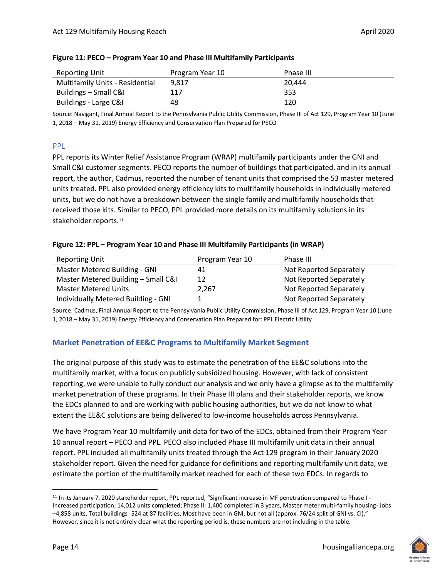| Reporting Unit                         | Program Year 10 | Phase III |
|----------------------------------------|-----------------|-----------|
| <b>Multifamily Units - Residential</b> | 9.817           | 20.444    |
| Buildings – Small C&I                  | 117             | 353       |
| Buildings - Large C&I                  | 48              | 120       |

#### **Figure 11: PECO – Program Year 10 and Phase III Multifamily Participants**

Source: Navigant, Final Annual Report to the Pennsylvania Public Utility Commission, Phase III of Act 129, Program Year 10 (June 1, 2018 – May 31, 2019) Energy Efficiency and Conservation Plan Prepared for PECO

#### PPL

PPL reports its Winter Relief Assistance Program (WRAP) multifamily participants under the GNI and Small C&I customer segments. PECO reports the number of buildings that participated, and in its annual report, the author, Cadmus, reported the number of tenant units that comprised the 53 master metered units treated. PPL also provided energy efficiency kits to multifamily households in individually metered units, but we do not have a breakdown between the single family and multifamily households that received those kits. Similar to PECO, PPL provided more details on its multifamily solutions in its stakeholder reports.<sup>11</sup>

#### **Figure 12: PPL – Program Year 10 and Phase III Multifamily Participants (in WRAP)**

| <b>Reporting Unit</b>               | Program Year 10 | Phase III               |
|-------------------------------------|-----------------|-------------------------|
| Master Metered Building - GNI       | 41              | Not Reported Separately |
| Master Metered Building - Small C&I | 12              | Not Reported Separately |
| <b>Master Metered Units</b>         | 2.267           | Not Reported Separately |
| Individually Metered Building - GNI |                 | Not Reported Separately |

Source: Cadmus, Final Annual Report to the Pennsylvania Public Utility Commission, Phase III of Act 129, Program Year 10 (June 1, 2018 – May 31, 2019) Energy Efficiency and Conservation Plan Prepared for: PPL Electric Utility

#### <span id="page-15-0"></span>**Market Penetration of EE&C Programs to Multifamily Market Segment**

The original purpose of this study was to estimate the penetration of the EE&C solutions into the multifamily market, with a focus on publicly subsidized housing. However, with lack of consistent reporting, we were unable to fully conduct our analysis and we only have a glimpse as to the multifamily market penetration of these programs. In their Phase III plans and their stakeholder reports, we know the EDCs planned to and are working with public housing authorities, but we do not know to what extent the EE&C solutions are being delivered to low-income households across Pennsylvania.

We have Program Year 10 multifamily unit data for two of the EDCs, obtained from their Program Year 10 annual report – PECO and PPL. PECO also included Phase III multifamily unit data in their annual report. PPL included all multifamily units treated through the Act 129 program in their January 2020 stakeholder report. Given the need for guidance for definitions and reporting multifamily unit data, we estimate the portion of the multifamily market reached for each of these two EDCs. In regards to

 $\overline{a}$ <sup>11</sup> In its January 7, 2020 stakeholder report, PPL reported, "Significant increase in MF penetration compared to Phase I - Increased participation; 14,012 units completed; Phase II: 1,400 completed in 3 years, Master meter multi-family housing- Jobs –4,858 units, Total buildings -524 at 87 facilities, Most have been in GNI, but not all (approx. 76/24 split of GNI vs. CI)." However, since it is not entirely clear what the reporting period is, these numbers are not including in the table.

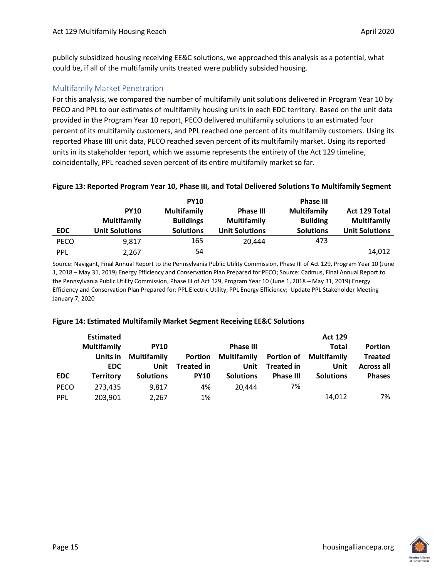publicly subsidized housing receiving EE&C solutions, we approached this analysis as a potential, what could be, if all of the multifamily units treated were publicly subsided housing.

#### Multifamily Market Penetration

For this analysis, we compared the number of multifamily unit solutions delivered in Program Year 10 by PECO and PPL to our estimates of multifamily housing units in each EDC territory. Based on the unit data provided in the Program Year 10 report, PECO delivered multifamily solutions to an estimated four percent of its multifamily customers, and PPL reached one percent of its multifamily customers. Using its reported Phase IIII unit data, PECO reached seven percent of its multifamily market. Using its reported units in its stakeholder report, which we assume represents the entirety of the Act 129 timeline, coincidentally, PPL reached seven percent of its entire multifamily market so far.

|             |                       | <b>PY10</b>        |                       | <b>Phase III</b>   |                       |
|-------------|-----------------------|--------------------|-----------------------|--------------------|-----------------------|
|             | <b>PY10</b>           | <b>Multifamily</b> | <b>Phase III</b>      | <b>Multifamily</b> | Act 129 Total         |
|             | <b>Multifamily</b>    | <b>Buildings</b>   | <b>Multifamily</b>    | <b>Building</b>    | <b>Multifamily</b>    |
| <b>EDC</b>  | <b>Unit Solutions</b> | <b>Solutions</b>   | <b>Unit Solutions</b> | <b>Solutions</b>   | <b>Unit Solutions</b> |
| <b>PECO</b> | 9.817                 | 165                | 20.444                | 473                |                       |
| PPL         | 2.267                 | 54                 |                       |                    | 14,012                |

**Figure 13: Reported Program Year 10, Phase III, and Total Delivered Solutions To Multifamily Segment**

Source: Navigant, Final Annual Report to the Pennsylvania Public Utility Commission, Phase III of Act 129, Program Year 10 (June 1, 2018 – May 31, 2019) Energy Efficiency and Conservation Plan Prepared for PECO; Source: Cadmus, Final Annual Report to the Pennsylvania Public Utility Commission, Phase III of Act 129, Program Year 10 (June 1, 2018 – May 31, 2019) Energy Efficiency and Conservation Plan Prepared for: PPL Electric Utility; PPL Energy Efficiency; Update PPL Stakeholder Meeting January 7, 2020

#### **Figure 14: Estimated Multifamily Market Segment Receiving EE&C Solutions**

|             | <b>Estimated</b>   |                    |                   |                    |                   | <b>Act 129</b>                |                   |
|-------------|--------------------|--------------------|-------------------|--------------------|-------------------|-------------------------------|-------------------|
|             | <b>Multifamily</b> | <b>PY10</b>        |                   | <b>Phase III</b>   |                   | <b>Total</b>                  | <b>Portion</b>    |
|             | Units in           | <b>Multifamily</b> | Portion           | <b>Multifamily</b> |                   | <b>Portion of Multifamily</b> | <b>Treated</b>    |
|             | EDC.               | Unit               | <b>Treated in</b> | Unit               | <b>Treated in</b> | Unit                          | <b>Across all</b> |
| <b>EDC</b>  | <b>Territory</b>   | <b>Solutions</b>   | <b>PY10</b>       | <b>Solutions</b>   | <b>Phase III</b>  | <b>Solutions</b>              | <b>Phases</b>     |
| <b>PECO</b> | 273,435            | 9.817              | 4%                | 20.444             | 7%                |                               |                   |
| PPL         | 203,901            | 2,267              | 1%                |                    |                   | 14,012                        | 7%                |

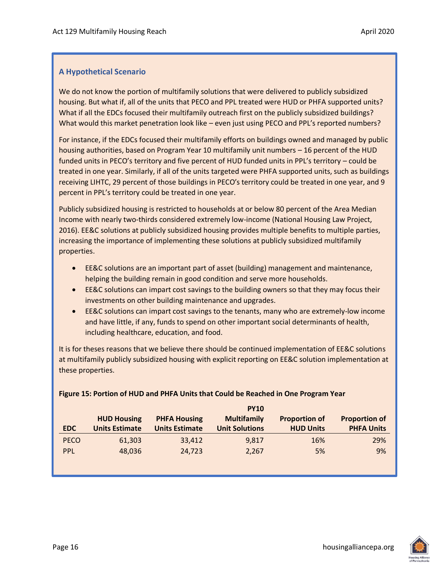#### **A Hypothetical Scenario**

We do not know the portion of multifamily solutions that were delivered to publicly subsidized housing. But what if, all of the units that PECO and PPL treated were HUD or PHFA supported units? What if all the EDCs focused their multifamily outreach first on the publicly subsidized buildings? What would this market penetration look like – even just using PECO and PPL's reported numbers?

For instance, if the EDCs focused their multifamily efforts on buildings owned and managed by public housing authorities, based on Program Year 10 multifamily unit numbers – 16 percent of the HUD funded units in PECO's territory and five percent of HUD funded units in PPL's territory – could be treated in one year. Similarly, if all of the units targeted were PHFA supported units, such as buildings receiving LIHTC, 29 percent of those buildings in PECO's territory could be treated in one year, and 9 percent in PPL's territory could be treated in one year.

Publicly subsidized housing is restricted to households at or below 80 percent of the Area Median Income with nearly two-thirds considered extremely low-income (National Housing Law Project, 2016). EE&C solutions at publicly subsidized housing provides multiple benefits to multiple parties, increasing the importance of implementing these solutions at publicly subsidized multifamily properties.

- EE&C solutions are an important part of asset (building) management and maintenance, helping the building remain in good condition and serve more households.
- EE&C solutions can impart cost savings to the building owners so that they may focus their investments on other building maintenance and upgrades.
- EE&C solutions can impart cost savings to the tenants, many who are extremely-low income and have little, if any, funds to spend on other important social determinants of health, including healthcare, education, and food.

It is for theses reasons that we believe there should be continued implementation of EE&C solutions at multifamily publicly subsidized housing with explicit reporting on EE&C solution implementation at these properties.

|             | <b>PY10</b>           |                       |                       |                      |                      |  |  |  |  |
|-------------|-----------------------|-----------------------|-----------------------|----------------------|----------------------|--|--|--|--|
|             | <b>HUD Housing</b>    | <b>PHFA Housing</b>   | <b>Multifamily</b>    | <b>Proportion of</b> | <b>Proportion of</b> |  |  |  |  |
| <b>EDC</b>  | <b>Units Estimate</b> | <b>Units Estimate</b> | <b>Unit Solutions</b> | <b>HUD Units</b>     | <b>PHFA Units</b>    |  |  |  |  |
| <b>PECO</b> | 61,303                | 33,412                | 9,817                 | 16%                  | 29%                  |  |  |  |  |
| PPL         | 48,036                | 24,723                | 2,267                 | 5%                   | 9%                   |  |  |  |  |
|             |                       |                       |                       |                      |                      |  |  |  |  |
|             |                       |                       |                       |                      |                      |  |  |  |  |

#### **Figure 15: Portion of HUD and PHFA Units that Could be Reached in One Program Year**

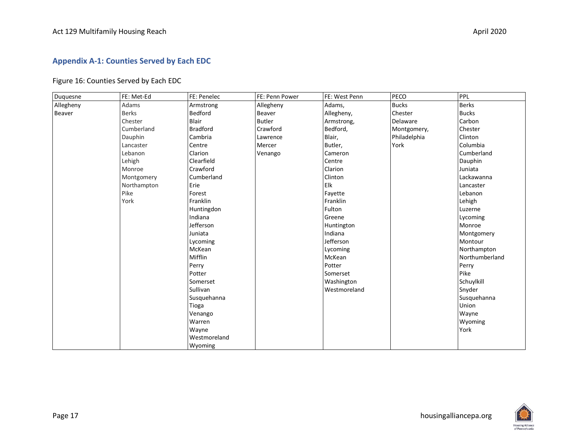#### **Appendix A-1: Counties Served by Each EDC**

#### Figure 16: Counties Served by Each EDC

<span id="page-18-0"></span>

| Duquesne  | FE: Met-Ed   | FE: Penelec     | FE: Penn Power | FE: West Penn | PECO         | PPL            |
|-----------|--------------|-----------------|----------------|---------------|--------------|----------------|
| Allegheny | Adams        | Armstrong       | Allegheny      | Adams,        | <b>Bucks</b> | <b>Berks</b>   |
| Beaver    | <b>Berks</b> | Bedford         | Beaver         | Allegheny,    | Chester      | <b>Bucks</b>   |
|           | Chester      | Blair           | <b>Butler</b>  | Armstrong,    | Delaware     | Carbon         |
|           | Cumberland   | <b>Bradford</b> | Crawford       | Bedford,      | Montgomery,  | Chester        |
|           | Dauphin      | Cambria         | Lawrence       | Blair,        | Philadelphia | Clinton        |
|           | Lancaster    | Centre          | Mercer         | Butler,       | York         | Columbia       |
|           | Lebanon      | Clarion         | Venango        | Cameron       |              | Cumberland     |
|           | Lehigh       | Clearfield      |                | Centre        |              | Dauphin        |
|           | Monroe       | Crawford        |                | Clarion       |              | Juniata        |
|           | Montgomery   | Cumberland      |                | Clinton       |              | Lackawanna     |
|           | Northampton  | Erie            |                | Elk           |              | Lancaster      |
|           | Pike         | Forest          |                | Favette       |              | Lebanon        |
|           | York         | Franklin        |                | Franklin      |              | Lehigh         |
|           |              | Huntingdon      |                | Fulton        |              | Luzerne        |
|           |              | Indiana         |                | Greene        |              | Lycoming       |
|           |              | Jefferson       |                | Huntington    |              | Monroe         |
|           |              | Juniata         |                | Indiana       |              | Montgomery     |
|           |              | Lycoming        |                | Jefferson     |              | Montour        |
|           |              | McKean          |                | Lycoming      |              | Northampton    |
|           |              | Mifflin         |                | McKean        |              | Northumberland |
|           |              | Perry           |                | Potter        |              | Perry          |
|           |              | Potter          |                | Somerset      |              | Pike           |
|           |              | Somerset        |                | Washington    |              | Schuylkill     |
|           |              | Sullivan        |                | Westmoreland  |              | Snyder         |
|           |              | Susquehanna     |                |               |              | Susquehanna    |
|           |              | Tioga           |                |               |              | Union          |
|           |              | Venango         |                |               |              | Wayne          |
|           |              | Warren          |                |               |              | Wyoming        |
|           |              | Wayne           |                |               |              | York           |
|           |              | Westmoreland    |                |               |              |                |
|           |              | Wyoming         |                |               |              |                |

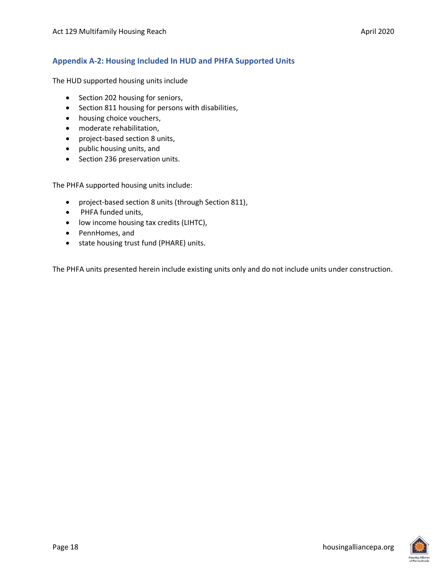#### <span id="page-19-0"></span>**Appendix A-2: Housing Included In HUD and PHFA Supported Units**

The HUD supported housing units include

- Section 202 housing for seniors,
- Section 811 housing for persons with disabilities,
- housing choice vouchers,
- moderate rehabilitation,
- project-based section 8 units,
- public housing units, and
- Section 236 preservation units.

The PHFA supported housing units include:

- project-based section 8 units (through Section 811),
- PHFA funded units,
- low income housing tax credits (LIHTC),
- PennHomes, and
- state housing trust fund (PHARE) units.

The PHFA units presented herein include existing units only and do not include units under construction.